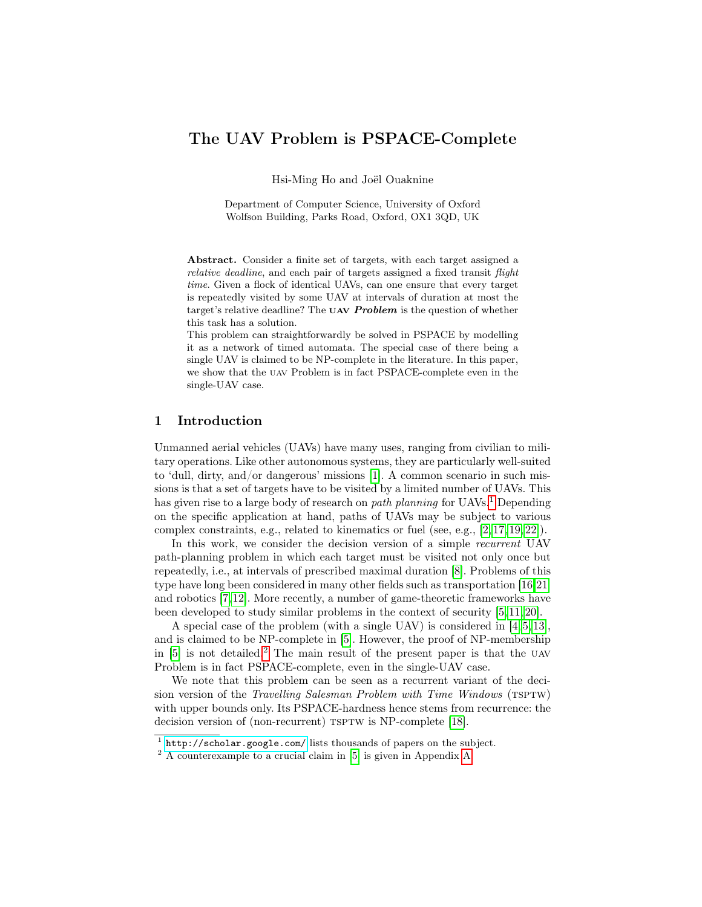# The UAV Problem is PSPACE-Complete

Hsi-Ming Ho and Joël Ouaknine

Department of Computer Science, University of Oxford Wolfson Building, Parks Road, Oxford, OX1 3QD, UK

Abstract. Consider a finite set of targets, with each target assigned a relative deadline, and each pair of targets assigned a fixed transit flight time. Given a flock of identical UAVs, can one ensure that every target is repeatedly visited by some UAV at intervals of duration at most the target's relative deadline? The UAV **Problem** is the question of whether this task has a solution.

This problem can straightforwardly be solved in PSPACE by modelling it as a network of timed automata. The special case of there being a single UAV is claimed to be NP-complete in the literature. In this paper, we show that the uav Problem is in fact PSPACE-complete even in the single-UAV case.

## 1 Introduction

Unmanned aerial vehicles (UAVs) have many uses, ranging from civilian to military operations. Like other autonomous systems, they are particularly well-suited to 'dull, dirty, and/or dangerous' missions [\[1\]](#page-12-0). A common scenario in such missions is that a set of targets have to be visited by a limited number of UAVs. This has given rise to a large body of research on path planning for UAVs.<sup>[1](#page-0-0)</sup> Depending on the specific application at hand, paths of UAVs may be subject to various complex constraints, e.g., related to kinematics or fuel (see, e.g., [\[2,](#page-12-1) [17,](#page-13-0) [19,](#page-13-1) [22\]](#page-13-2)).

In this work, we consider the decision version of a simple recurrent UAV path-planning problem in which each target must be visited not only once but repeatedly, i.e., at intervals of prescribed maximal duration [\[8\]](#page-13-3). Problems of this type have long been considered in many other fields such as transportation [\[16,](#page-13-4)[21\]](#page-13-5) and robotics [\[7,](#page-13-6)[12\]](#page-13-7). More recently, a number of game-theoretic frameworks have been developed to study similar problems in the context of security [\[5,](#page-12-2) [11,](#page-13-8) [20\]](#page-13-9).

A special case of the problem (with a single UAV) is considered in [\[4,](#page-12-3) [5,](#page-12-2) [13\]](#page-13-10), and is claimed to be NP-complete in [\[5\]](#page-12-2). However, the proof of NP-membership in  $[5]$  is not detailed.<sup>[2](#page-0-1)</sup> The main result of the present paper is that the UAV Problem is in fact PSPACE-complete, even in the single-UAV case.

We note that this problem can be seen as a recurrent variant of the decision version of the *Travelling Salesman Problem with Time Windows* (TSPTW) with upper bounds only. Its PSPACE-hardness hence stems from recurrence: the decision version of (non-recurrent) TSPTW is NP-complete [\[18\]](#page-13-11).

<span id="page-0-0"></span><sup>&</sup>lt;sup>1</sup> <http://scholar.google.com/> lists thousands of papers on the subject.

<span id="page-0-1"></span><sup>2</sup> A counterexample to a crucial claim in [\[5\]](#page-12-2) is given in Appendix [A.](#page-14-0)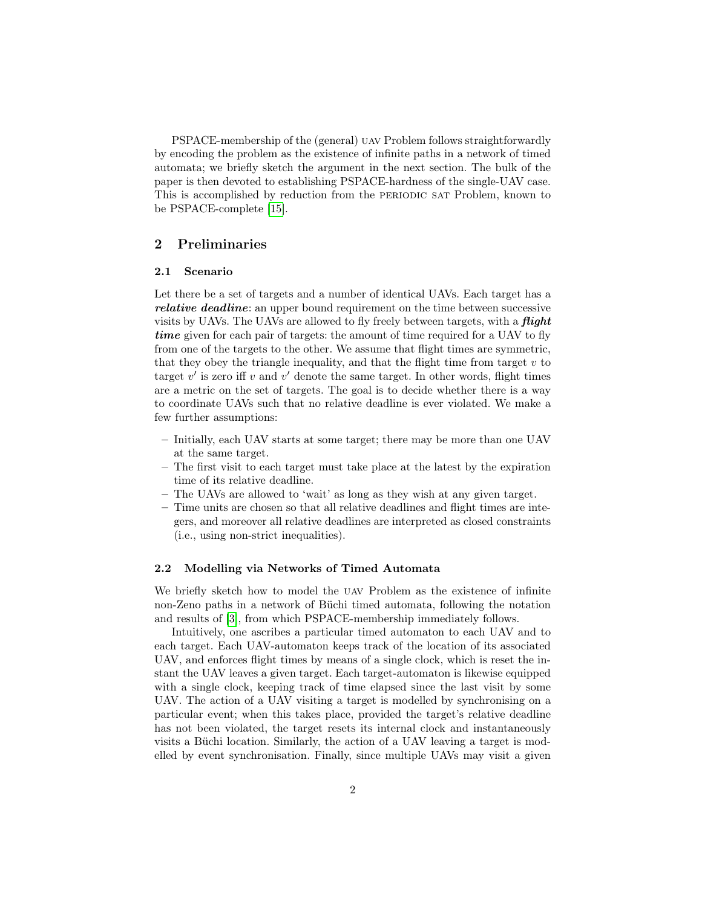PSPACE-membership of the (general) uav Problem follows straightforwardly by encoding the problem as the existence of infinite paths in a network of timed automata; we briefly sketch the argument in the next section. The bulk of the paper is then devoted to establishing PSPACE-hardness of the single-UAV case. This is accomplished by reduction from the PERIODIC SAT Problem, known to be PSPACE-complete [\[15\]](#page-13-12).

## 2 Preliminaries

#### 2.1 Scenario

Let there be a set of targets and a number of identical UAVs. Each target has a relative deadline: an upper bound requirement on the time between successive visits by UAVs. The UAVs are allowed to fly freely between targets, with a  $\it flight$ time given for each pair of targets: the amount of time required for a UAV to fly from one of the targets to the other. We assume that flight times are symmetric, that they obey the triangle inequality, and that the flight time from target  $v$  to target  $v'$  is zero iff v and  $v'$  denote the same target. In other words, flight times are a metric on the set of targets. The goal is to decide whether there is a way to coordinate UAVs such that no relative deadline is ever violated. We make a few further assumptions:

- Initially, each UAV starts at some target; there may be more than one UAV at the same target.
- The first visit to each target must take place at the latest by the expiration time of its relative deadline.
- The UAVs are allowed to 'wait' as long as they wish at any given target.
- Time units are chosen so that all relative deadlines and flight times are integers, and moreover all relative deadlines are interpreted as closed constraints (i.e., using non-strict inequalities).

#### <span id="page-1-0"></span>2.2 Modelling via Networks of Timed Automata

We briefly sketch how to model the UAV Problem as the existence of infinite non-Zeno paths in a network of Büchi timed automata, following the notation and results of [\[3\]](#page-12-4), from which PSPACE-membership immediately follows.

Intuitively, one ascribes a particular timed automaton to each UAV and to each target. Each UAV-automaton keeps track of the location of its associated UAV, and enforces flight times by means of a single clock, which is reset the instant the UAV leaves a given target. Each target-automaton is likewise equipped with a single clock, keeping track of time elapsed since the last visit by some UAV. The action of a UAV visiting a target is modelled by synchronising on a particular event; when this takes place, provided the target's relative deadline has not been violated, the target resets its internal clock and instantaneously visits a Büchi location. Similarly, the action of a UAV leaving a target is modelled by event synchronisation. Finally, since multiple UAVs may visit a given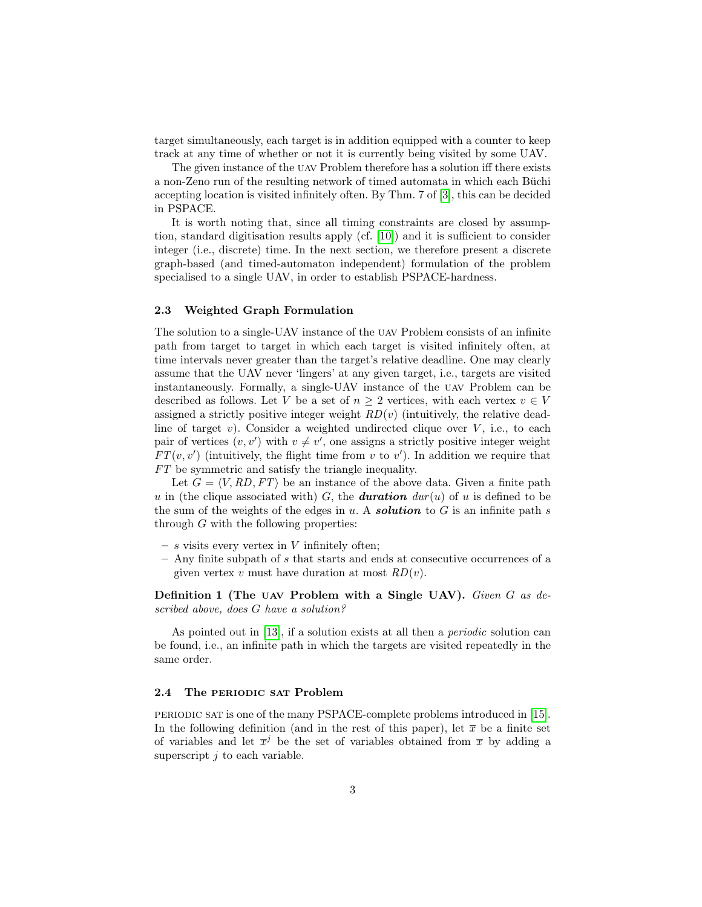target simultaneously, each target is in addition equipped with a counter to keep track at any time of whether or not it is currently being visited by some UAV.

The given instance of the UAV Problem therefore has a solution iff there exists a non-Zeno run of the resulting network of timed automata in which each Büchi accepting location is visited infinitely often. By Thm. 7 of [\[3\]](#page-12-4), this can be decided in PSPACE.

It is worth noting that, since all timing constraints are closed by assumption, standard digitisation results apply (cf. [\[10\]](#page-13-13)) and it is sufficient to consider integer (i.e., discrete) time. In the next section, we therefore present a discrete graph-based (and timed-automaton independent) formulation of the problem specialised to a single UAV, in order to establish PSPACE-hardness.

#### 2.3 Weighted Graph Formulation

The solution to a single-UAV instance of the uav Problem consists of an infinite path from target to target in which each target is visited infinitely often, at time intervals never greater than the target's relative deadline. One may clearly assume that the UAV never 'lingers' at any given target, i.e., targets are visited instantaneously. Formally, a single-UAV instance of the uav Problem can be described as follows. Let V be a set of  $n \geq 2$  vertices, with each vertex  $v \in V$ assigned a strictly positive integer weight  $RD(v)$  (intuitively, the relative deadline of target  $v$ ). Consider a weighted undirected clique over  $V$ , i.e., to each pair of vertices  $(v, v')$  with  $v \neq v'$ , one assigns a strictly positive integer weight  $FT(v, v')$  (intuitively, the flight time from v to v'). In addition we require that FT be symmetric and satisfy the triangle inequality.

Let  $G = \langle V, RD, FT \rangle$  be an instance of the above data. Given a finite path u in (the clique associated with) G, the **duration**  $dur(u)$  of u is defined to be the sum of the weights of the edges in  $u$ . A **solution** to  $G$  is an infinite path s through  $G$  with the following properties:

- $-$  s visits every vertex in V infinitely often;
- Any finite subpath of s that starts and ends at consecutive occurrences of a given vertex v must have duration at most  $RD(v)$ .

Definition 1 (The UAV Problem with a Single UAV). Given  $G$  as described above, does G have a solution?

As pointed out in [\[13\]](#page-13-10), if a solution exists at all then a periodic solution can be found, i.e., an infinite path in which the targets are visited repeatedly in the same order.

#### 2.4 The PERIODIC SAT Problem

periodic sat is one of the many PSPACE-complete problems introduced in [\[15\]](#page-13-12). In the following definition (and in the rest of this paper), let  $\bar{x}$  be a finite set of variables and let  $\bar{x}^j$  be the set of variables obtained from  $\bar{x}$  by adding a superscript  $j$  to each variable.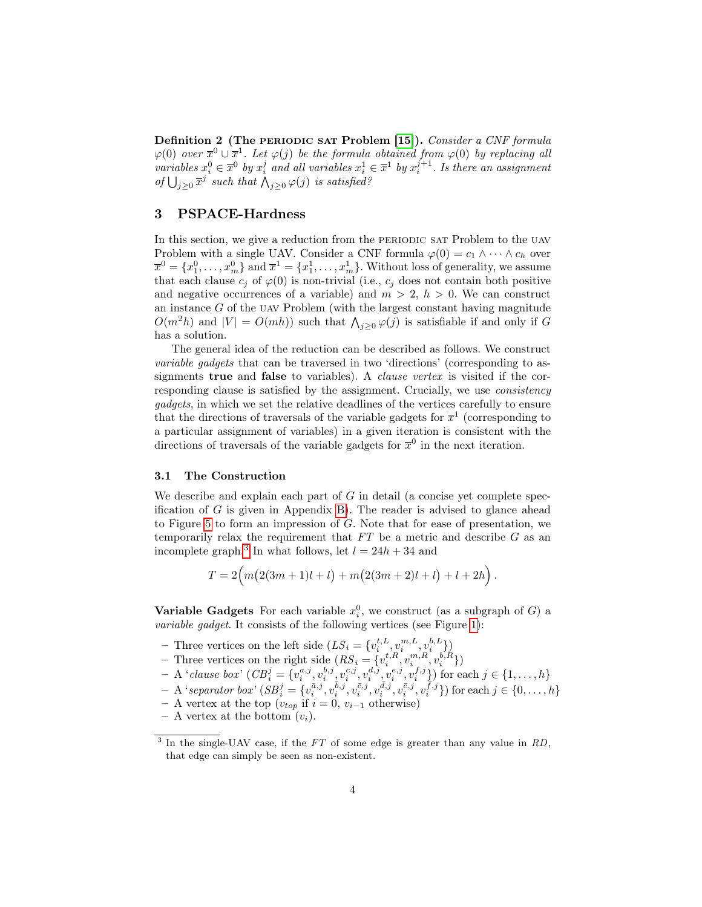Definition 2 (The PERIODIC SAT Problem [\[15\]](#page-13-12)). Consider a CNF formula  $\varphi(0)$  over  $\overline{x}^0 \cup \overline{x}^1$ . Let  $\varphi(j)$  be the formula obtained from  $\varphi(0)$  by replacing all variables  $x_i^0 \in \overline{x}^0$  by  $x_i^j$  and all variables  $x_i^1 \in \overline{x}^1$  by  $x_i^{j+1}$ . Is there an assignment of  $\bigcup_{j\geq 0} \overline{x}^j$  such that  $\bigwedge_{j\geq 0} \varphi(j)$  is satisfied?

## 3 PSPACE-Hardness

In this section, we give a reduction from the PERIODIC SAT Problem to the UAV Problem with a single UAV. Consider a CNF formula  $\varphi(0) = c_1 \wedge \cdots \wedge c_h$  over  $\overline{x}^0 = \{x_1^0, \ldots, x_m^0\}$  and  $\overline{x}^1 = \{x_1^1, \ldots, x_m^1\}$ . Without loss of generality, we assume that each clause  $c_j$  of  $\varphi(0)$  is non-trivial (i.e.,  $c_j$  does not contain both positive and negative occurrences of a variable) and  $m > 2$ ,  $h > 0$ . We can construct an instance  $G$  of the UAV Problem (with the largest constant having magnitude  $O(m^2h)$  and  $|V| = O(mh)$  such that  $\bigwedge_{j\geq 0} \varphi(j)$  is satisfiable if and only if G has a solution.

The general idea of the reduction can be described as follows. We construct variable gadgets that can be traversed in two 'directions' (corresponding to assignments true and false to variables). A *clause vertex* is visited if the corresponding clause is satisfied by the assignment. Crucially, we use consistency gadgets, in which we set the relative deadlines of the vertices carefully to ensure that the directions of traversals of the variable gadgets for  $\bar{x}^1$  (corresponding to a particular assignment of variables) in a given iteration is consistent with the directions of traversals of the variable gadgets for  $\bar{x}^0$  in the next iteration.

#### 3.1 The Construction

We describe and explain each part of  $G$  in detail (a concise yet complete specification of  $G$  is given in Appendix [B\)](#page-15-0). The reader is advised to glance ahead to Figure [5](#page-7-0) to form an impression of G. Note that for ease of presentation, we temporarily relax the requirement that  $FT$  be a metric and describe G as an incomplete graph.<sup>[3](#page-3-0)</sup> In what follows, let  $l = 24h + 34$  and

$$
T = 2\Big(m(2(3m+1)l + l) + m(2(3m+2)l + l) + l + 2h\Big).
$$

**Variable Gadgets** For each variable  $x_i^0$ , we construct (as a subgraph of G) a variable gadget. It consists of the following vertices (see Figure [1\)](#page-4-0):

- Three vertices on the left side  $(LS_i = \{v_i^{t,L}, v_i^{m,L}, v_i^{b,L}\})$
- Three vertices on the right side  $(RS_i = \{v_i^{t,R}, v_i^{m,R}, v_i^{b,R}\})$
- $A'$ clause box'  $(CB_i^j = \{v_i^{a,j}, v_i^{b,j}, v_i^{c,j}, v_i^{d,j}, v_i^{e,j}, v_i^{f,j}\})$  for each  $j \in \{1, ..., h\}$

 $A \text{ 'separation box' }(SB_i^j = \{v_i^{\bar{a},j}, v_i^{\bar{b},j}, v_i^{\bar{c},j}, v_i^{\bar{d},j}, v_i^{\bar{e},j}, v_i^{\bar{f},j}\}) \text{ for each } j \in \{0,\ldots,h\}$ 

- A vertex at the top ( $v_{top}$  if  $i = 0, v_{i-1}$  otherwise)
- A vertex at the bottom  $(v_i)$ .

<span id="page-3-0"></span><sup>&</sup>lt;sup>3</sup> In the single-UAV case, if the  $FT$  of some edge is greater than any value in  $RD$ , that edge can simply be seen as non-existent.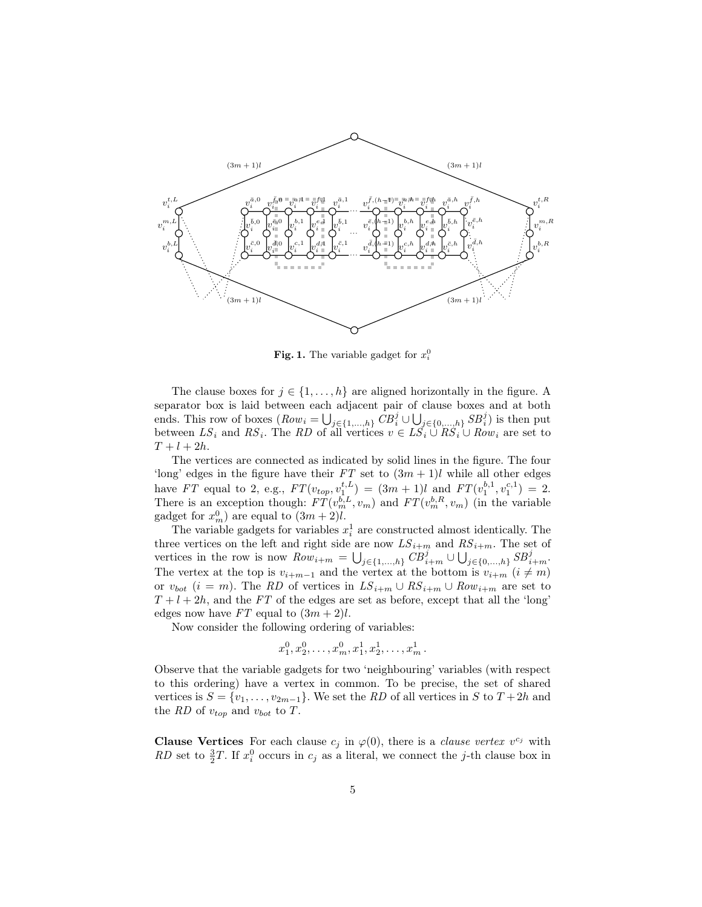<span id="page-4-0"></span>

**Fig. 1.** The variable gadget for  $x_i^0$ 

The clause boxes for  $j \in \{1, \ldots, h\}$  are aligned horizontally in the figure. A separator box is laid between each adjacent pair of clause boxes and at both ends. This row of boxes  $(Row_i = \bigcup_{j \in \{1,...,h\}} \overline{CB_i^j} \cup \bigcup_{j \in \{0,...,h\}} SB_i^j)$  is then put between  $LS_i$  and  $RS_i$ . The RD of all vertices  $v \in LS_i \cup RS_i \cup Row_i$  are set to  $T + l + 2h$ .

The vertices are connected as indicated by solid lines in the figure. The four 'long' edges in the figure have their  $FT$  set to  $(3m + 1)l$  while all other edges have FT equal to 2, e.g.,  $FT(v_{top}, v_{1}^{t,L}) = (3m + 1)l$  and  $FT(v_1^{b,1}, v_1^{c,1}) = 2$ . There is an exception though:  $FT(v_m^{b,L}, v_m)$  and  $FT(v_m^{b,R}, v_m)$  (in the variable gadget for  $x_m^0$  are equal to  $(3m+2)l$ .

The variable gadgets for variables  $x_i^1$  are constructed almost identically. The three vertices on the left and right side are now  $LS_{i+m}$  and  $RS_{i+m}$ . The set of vertices in the row is now  $Row_{i+m} = \bigcup_{j \in \{1,...,h\}} CB_{i+m}^j \cup \bigcup_{j \in \{0,...,h\}} SB_{i+m}^j$ . The vertex at the top is  $v_{i+m-1}$  and the vertex at the bottom is  $v_{i+m}$   $(i \neq m)$ or  $v_{bot}$  (i = m). The RD of vertices in  $LS_{i+m} \cup RS_{i+m} \cup Row_{i+m}$  are set to  $T + l + 2h$ , and the FT of the edges are set as before, except that all the 'long' edges now have  $FT$  equal to  $(3m + 2)l$ .

Now consider the following ordering of variables:

 $x_1^0, x_2^0, \ldots, x_m^0, x_1^1, x_2^1, \ldots, x_m^1$ .

Observe that the variable gadgets for two 'neighbouring' variables (with respect to this ordering) have a vertex in common. To be precise, the set of shared vertices is  $S = \{v_1, \ldots, v_{2m-1}\}.$  We set the RD of all vertices in S to  $T + 2h$  and the  $RD$  of  $v_{top}$  and  $v_{bot}$  to T.

**Clause Vertices** For each clause  $c_j$  in  $\varphi(0)$ , there is a *clause vertex*  $v^{c_j}$  with RD set to  $\frac{3}{2}T$ . If  $x_i^0$  occurs in  $c_j$  as a literal, we connect the j-th clause box in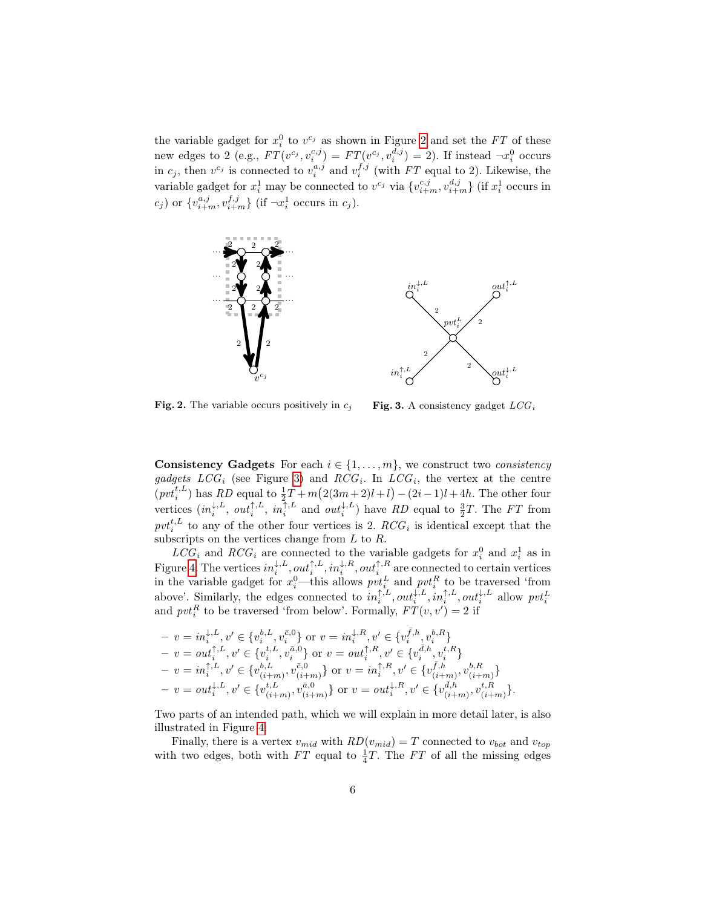the variable gadget for  $x_i^0$  to  $v^{c_j}$  as shown in Figure [2](#page-5-0) and set the FT of these new edges to 2 (e.g.,  $FT(v^{c_j}, v^{c,j}_i) = FT(v^{c_j}, v^{d,j}_i) = 2)$ . If instead  $\neg x_i^0$  occurs in  $c_j$ , then  $v^{c_j}$  is connected to  $v_i^{a,j}$  and  $v_i^{f,j}$  (with FT equal to 2). Likewise, the variable gadget for  $x_i^1$  may be connected to  $v^{c_j}$  via  $\{v_{i+m}^{c,j}, v_{i+m}^{d,j}\}$  (if  $x_i^1$  occurs in  $(c_j)$  or  $\{v_{i+m}^{a,j}, v_{i+m}^{f,j}\}\$  (if  $\neg x_i^1$  occurs in  $c_j$ ).

<span id="page-5-0"></span>

Fig. 2. The variable occurs positively in  $c_i$ 

<span id="page-5-1"></span>Fig. 3. A consistency gadget  $LCG_i$ 

**Consistency Gadgets** For each  $i \in \{1, \ldots, m\}$ , we construct two *consistency* gadgets  $LCG_i$  (see Figure [3\)](#page-5-1) and  $RCG_i$ . In  $LCG_i$ , the vertex at the centre  $(pvt_i^{t,L})$  has  $RD$  equal to  $\frac{1}{2}T + m(2(3m+2)l + l) - (2i-1)l + 4h$ . The other four vertices  $(in_i^{\downarrow,L}, out_i^{\uparrow,L}, in_i^{\uparrow,L} \text{ and } out_i^{\downarrow,L})$  have RD equal to  $\frac{3}{2}T$ . The FT from  $pv_t^{t,L}$  to any of the other four vertices is 2.  $RCG_i$  is identical except that the subscripts on the vertices change from  $L$  to  $R$ .

 $LCG_i$  and  $RCG_i$  are connected to the variable gadgets for  $x_i^0$  and  $x_i^1$  as in Figure [4.](#page-6-0) The vertices  $in_i^{\downarrow,L}$ ,  $out_i^{\uparrow,L}$ ,  $in_i^{\downarrow,R}$ ,  $out_i^{\uparrow,R}$  are connected to certain vertices in the variable gadget for  $x_i^0$ —this allows  $\text{put}_i^L$  and  $\text{put}_i^R$  to be traversed 'from above'. Similarly, the edges connected to  $in_i^{\uparrow,L}, out_i^{\downarrow,L}, in_i^{\uparrow,L}, out_i^{\downarrow,L}$  allow  $put_i^L$ and  $\text{prt}_i^R$  to be traversed 'from below'. Formally,  $\text{FT}(v, v') = 2$  if

$$
v = in_i^{1,L}, v' \in \{v_i^{b,L}, v_i^{c,0}\} \text{ or } v = in_i^{1,R}, v' \in \{v_i^{f,h}, v_i^{b,R}\} - v = out_i^{1,L}, v' \in \{v_i^{t,L}, v_i^{\bar{a},0}\} \text{ or } v = out_i^{1,R}, v' \in \{v_i^{\bar{d},h}, v_i^{t,R}\} - v = in_i^{1,L}, v' \in \{v_{(i+m)}^{b,L}, v_{(i+m)}^{c,0}\} \text{ or } v = in_i^{1,R}, v' \in \{v_{(i+m)}^{\bar{f},h}, v_{(i+m)}^{b,R}\} - v = out_i^{1,L}, v' \in \{v_{(i+m)}^{t,L}, v_{(i+m)}^{\bar{a},0}\} \text{ or } v = out_i^{1,R}, v' \in \{v_{(i+m)}^{\bar{d},h}, v_{(i+m)}^{t,R}\}.
$$

Two parts of an intended path, which we will explain in more detail later, is also illustrated in Figure [4.](#page-6-0)

Finally, there is a vertex  $v_{mid}$  with  $RD(v_{mid}) = T$  connected to  $v_{bot}$  and  $v_{top}$ with two edges, both with  $FT$  equal to  $\frac{1}{4}T$ . The FT of all the missing edges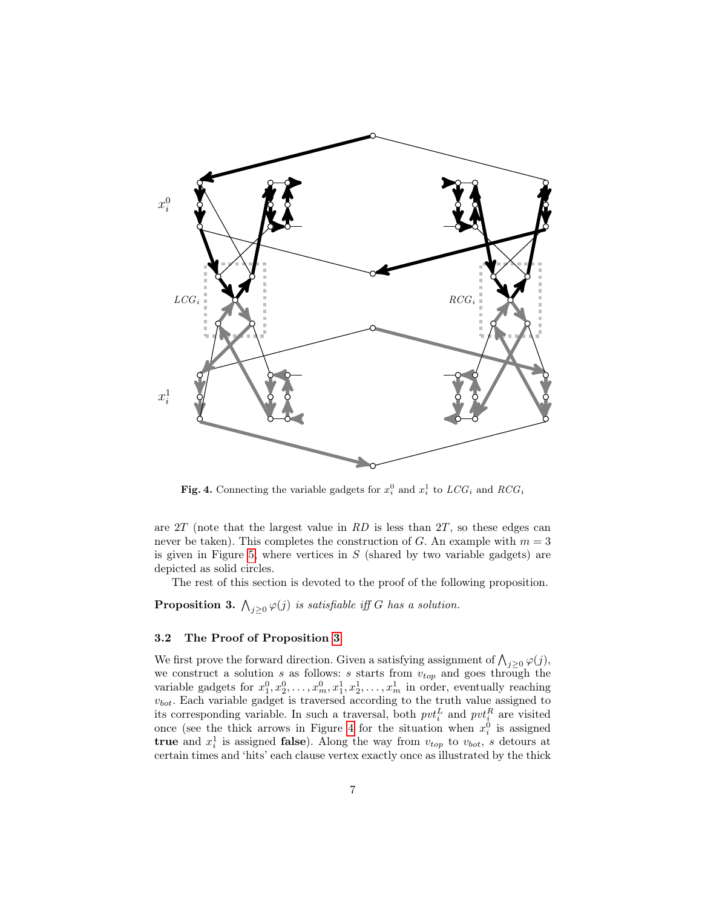<span id="page-6-0"></span>

**Fig. 4.** Connecting the variable gadgets for  $x_i^0$  and  $x_i^1$  to  $LCG_i$  and  $RCG_i$ 

are  $2T$  (note that the largest value in  $RD$  is less than  $2T$ , so these edges can never be taken). This completes the construction of G. An example with  $m = 3$ is given in Figure [5,](#page-7-0) where vertices in  $S$  (shared by two variable gadgets) are depicted as solid circles.

The rest of this section is devoted to the proof of the following proposition.

<span id="page-6-1"></span>**Proposition 3.**  $\bigwedge_{j\geq 0} \varphi(j)$  is satisfiable iff G has a solution.

#### 3.2 The Proof of Proposition [3](#page-6-1)

We first prove the forward direction. Given a satisfying assignment of  $\bigwedge_{j\geq 0} \varphi(j)$ , we construct a solution s as follows: s starts from  $v_{top}$  and goes through the variable gadgets for  $x_1^0, x_2^0, \ldots, x_m^0, x_1^1, x_2^1, \ldots, x_m^1$  in order, eventually reaching  $v_{bot}$ . Each variable gadget is traversed according to the truth value assigned to its corresponding variable. In such a traversal, both  $\text{put}_{i}^{L}$  and  $\text{put}_{i}^{R}$  are visited once (see the thick arrows in Figure [4](#page-6-0) for the situation when  $x_i^0$  is assigned true and  $x_i^1$  is assigned false). Along the way from  $v_{top}$  to  $v_{bot}$ , s detours at certain times and 'hits' each clause vertex exactly once as illustrated by the thick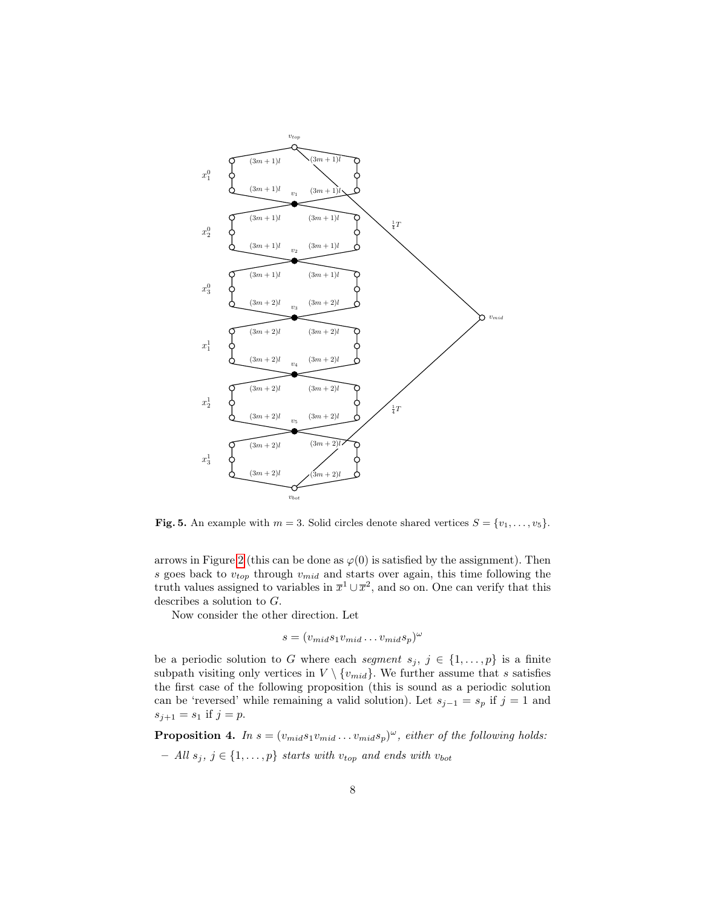<span id="page-7-0"></span>

**Fig. 5.** An example with  $m = 3$ . Solid circles denote shared vertices  $S = \{v_1, \ldots, v_5\}$ .

arrows in Figure [2](#page-5-0) (this can be done as  $\varphi(0)$  is satisfied by the assignment). Then s goes back to  $v_{top}$  through  $v_{mid}$  and starts over again, this time following the truth values assigned to variables in  $\overline{x}^1 \cup \overline{x}^2$ , and so on. One can verify that this describes a solution to G.

Now consider the other direction. Let

$$
s = (v_{mid}s_1v_{mid}\dots v_{mid}s_p)^{\omega}
$$

be a periodic solution to G where each segment  $s_j, j \in \{1, ..., p\}$  is a finite subpath visiting only vertices in  $V \setminus \{v_{mid}\}\$ . We further assume that s satisfies the first case of the following proposition (this is sound as a periodic solution can be 'reversed' while remaining a valid solution). Let  $s_{j-1} = s_p$  if  $j = 1$  and  $s_{j+1} = s_1$  if  $j = p$ .

<span id="page-7-1"></span>**Proposition 4.** In  $s = (v_{mid} s_1 v_{mid} \dots v_{mid} s_p)^{\omega}$ , either of the following holds: – All  $s_j, j \in \{1, \ldots, p\}$  starts with  $v_{top}$  and ends with  $v_{bot}$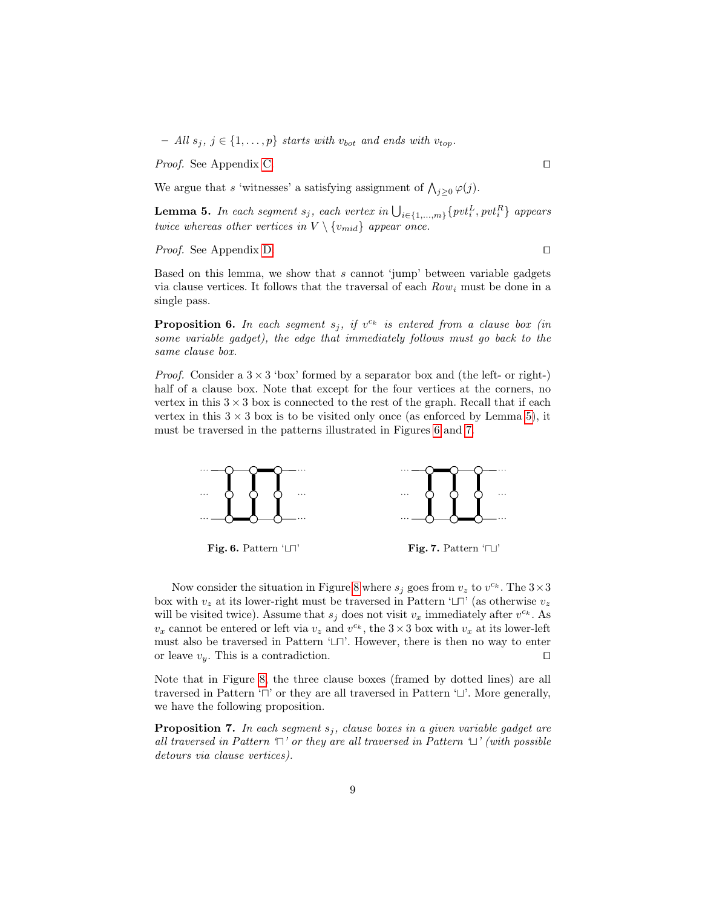– All  $s_i, j \in \{1, \ldots, p\}$  starts with  $v_{bot}$  and ends with  $v_{top}$ .

*Proof.* See Appendix [C.](#page-16-0)  $\Box$ 

We argue that s 'witnesses' a satisfying assignment of  $\bigwedge_{j\geq 0} \varphi(j)$ .

**Lemma 5.** In each segment  $s_j$ , each vertex in  $\bigcup_{i \in \{1,...,m\}} \{pvt_i^L, pv_t^R\}$  appears twice whereas other vertices in  $V \setminus \{v_{mid}\}$  appear once.

*Proof.* See Appendix [D.](#page-17-0)  $\Box$ 

<span id="page-8-0"></span>

Based on this lemma, we show that  $s$  cannot 'jump' between variable gadgets via clause vertices. It follows that the traversal of each  $Row<sub>i</sub>$  must be done in a single pass.

<span id="page-8-3"></span>**Proposition 6.** In each segment  $s_j$ , if  $v^{c_k}$  is entered from a clause box (in some variable gadget), the edge that immediately follows must go back to the same clause box.

*Proof.* Consider a  $3 \times 3$  'box' formed by a separator box and (the left- or right-) half of a clause box. Note that except for the four vertices at the corners, no vertex in this  $3 \times 3$  box is connected to the rest of the graph. Recall that if each vertex in this  $3 \times 3$  box is to be visited only once (as enforced by Lemma [5\)](#page-8-0), it must be traversed in the patterns illustrated in Figures [6](#page-8-1) and [7.](#page-8-2)

<span id="page-8-1"></span>

Fig. 6. Pattern  $' \Box$ 

<span id="page-8-2"></span>Fig. 7. Pattern  $'\Box'$ 

Now consider the situation in Figure [8](#page-9-0) where  $s_j$  goes from  $v_z$  to  $v^{c_k}$ . The  $3 \times 3$ box with  $v_z$  at its lower-right must be traversed in Pattern ' $\Box$ ' (as otherwise  $v_z$ will be visited twice). Assume that  $s_j$  does not visit  $v_x$  immediately after  $v^{c_k}$ . As  $v_x$  cannot be entered or left via  $v_z$  and  $v^{c_k}$ , the  $3 \times 3$  box with  $v_x$  at its lower-left must also be traversed in Pattern  $'\Box$ . However, there is then no way to enter or leave  $v_y$ . This is a contradiction.

Note that in Figure [8,](#page-9-0) the three clause boxes (framed by dotted lines) are all traversed in Pattern  $\cap$  or they are all traversed in Pattern  $\cup$ . More generally, we have the following proposition.

**Proposition 7.** In each segment  $s_j$ , clause boxes in a given variable gadget are all traversed in Pattern  $\Box'$  or they are all traversed in Pattern  $\Box'$  (with possible detours via clause vertices).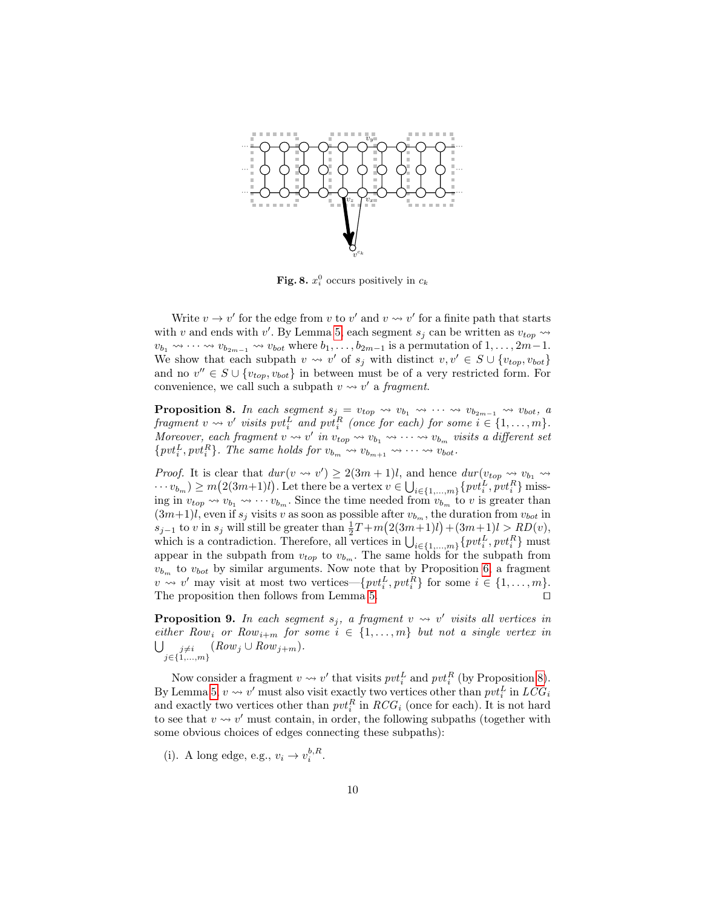<span id="page-9-0"></span>

**Fig. 8.**  $x_i^0$  occurs positively in  $c_k$ 

Write  $v \to v'$  for the edge from v to v' and  $v \leadsto v'$  for a finite path that starts with v and ends with v'. By Lemma [5,](#page-8-0) each segment  $s_j$  can be written as  $v_{top} \rightarrow$  $v_{b_1} \rightarrow \cdots \rightarrow v_{b_{2m-1}} \rightarrow v_{bot}$  where  $b_1, \ldots, b_{2m-1}$  is a permutation of  $1, \ldots, 2m-1$ . We show that each subpath  $v \leadsto v'$  of  $s_j$  with distinct  $v, v' \in S \cup \{v_{top}, v_{bot}\}\$ and no  $v'' \in S \cup \{v_{top}, v_{bot}\}\$  in between must be of a very restricted form. For convenience, we call such a subpath  $v \rightsquigarrow v'$  a *fragment*.

<span id="page-9-1"></span>**Proposition 8.** In each segment  $s_j = v_{top} \leadsto v_{b_1} \leadsto \cdots \leadsto v_{b_{2m-1}} \leadsto v_{bot}$ , a fragment  $v \rightsquigarrow v'$  visits  $\text{put}^L_i$  and  $\text{put}^R_i$  (once for each) for some  $i \in \{1, \ldots, m\}$ . Moreover, each fragment  $v \leadsto v'$  in  $v_{top} \leadsto v_{b_1} \leadsto \cdots \leadsto v_{b_m}$  visits a different set  $\{pvt_i^L, pvt_i^R\}$ . The same holds for  $v_{b_m} \rightsquigarrow v_{b_{m+1}} \rightsquigarrow \cdots \rightsquigarrow v_{bot}$ .

*Proof.* It is clear that  $dur(v \rightsquigarrow v') \geq 2(3m+1)l$ , and hence  $dur(v_{top} \rightsquigarrow v_{b_1} \rightsquigarrow v_{b_1})$  $\cdots v_{b_m}$ )  $\geq m(2(3m+1)l)$ . Let there be a vertex  $v \in \bigcup_{i \in \{1,\ldots,m\}} \{pvt_i^L, pvt_i^R\}$  missing in  $v_{top} \leadsto v_{b_1} \leadsto \cdots v_{b_m}$ . Since the time needed from  $v_{b_m}$  to v is greater than  $(3m+1)l$ , even if  $s_j$  visits v as soon as possible after  $v_{b_m}$ , the duration from  $v_{bot}$  in  $s_{j-1}$  to v in  $s_j$  will still be greater than  $\frac{1}{2}T + m(2(3m+1)l) + (3m+1)l > RD(v)$ , which is a contradiction. Therefore, all vertices in  $\bigcup_{i\in\{1,\dots,m\}}\{pvt_i^L, pvt_i^R\}$  must appear in the subpath from  $v_{top}$  to  $v_{b_m}$ . The same holds for the subpath from  $v_{b_m}$  to  $v_{bot}$  by similar arguments. Now note that by Proposition [6,](#page-8-3) a fragment  $v \rightsquigarrow v'$  may visit at most two vertices—{ $\rho vt_i^L, \rho vt_i^R$ } for some  $i \in \{1, ..., m\}$ . The proposition then follows from Lemma [5.](#page-8-0)  $\Box$ 

**Proposition 9.** In each segment  $s_j$ , a fragment  $v \leadsto v'$  visits all vertices in either Row<sub>i</sub> or Row<sub>i+m</sub> for some  $i \in \{1, ..., m\}$  but not a single vertex in  $\bigcup_{j\in\{1,\ldots,m\}}(Row_j\cup Row_{j+m}).$ 

Now consider a fragment  $v \leadsto v'$  that visits  $\text{put}_i^L$  and  $\text{put}_i^R$  (by Proposition [8\)](#page-9-1). By Lemma [5,](#page-8-0)  $v \leadsto v'$  must also visit exactly two vertices other than  $\mathit{pvt}^L_i$  in  $\mathit{LCG}_i$ and exactly two vertices other than  $\text{pvt}_i^R$  in  $\text{RCG}_i$  (once for each). It is not hard to see that  $v \leadsto v'$  must contain, in order, the following subpaths (together with some obvious choices of edges connecting these subpaths):

<span id="page-9-2"></span>(i). A long edge, e.g.,  $v_i \rightarrow v_i^{b,R}$ .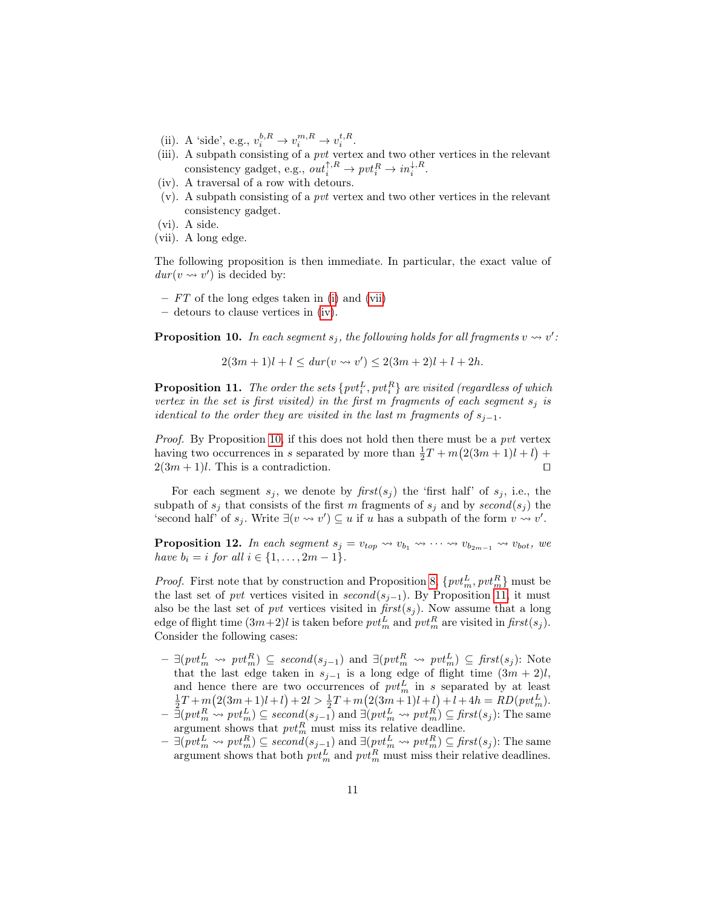- (ii). A 'side', e.g.,  $v_i^{b,R} \to v_i^{m,R} \to v_i^{t,R}$ .
- (iii). A subpath consisting of a pvt vertex and two other vertices in the relevant consistency gadget, e.g.,  $out_i^{\uparrow,R} \to put_i^R \to in_i^{\downarrow,R}$ .
- <span id="page-10-1"></span>(iv). A traversal of a row with detours.
- (v). A subpath consisting of a pvt vertex and two other vertices in the relevant consistency gadget.
- (vi). A side.
- <span id="page-10-0"></span>(vii). A long edge.

The following proposition is then immediate. In particular, the exact value of  $dur(v \rightsquigarrow v')$  is decided by:

- FT of the long edges taken in [\(i\)](#page-9-2) and [\(vii\)](#page-10-0)
- detours to clause vertices in [\(iv\)](#page-10-1).

<span id="page-10-2"></span>**Proposition 10.** In each segment  $s_j$ , the following holds for all fragments  $v \rightsquigarrow v'$ :

$$
2(3m+1)l + l \leq dur(v \rightsquigarrow v') \leq 2(3m+2)l + l + 2h.
$$

<span id="page-10-3"></span>**Proposition 11.** The order the sets  $\{pt_i^L, put_i^R\}$  are visited (regardless of which vertex in the set is first visited) in the first m fragments of each segment  $s_i$  is *identical to the order they are visited in the last m fragments of*  $s_{i-1}$ .

Proof. By Proposition [10,](#page-10-2) if this does not hold then there must be a pvt vertex having two occurrences in s separated by more than  $\frac{1}{2}T + m(2(3m + 1)l + l)$  +  $2(3m + 1)l$ . This is a contradiction.

For each segment  $s_j$ , we denote by  $first(s_j)$  the 'first half' of  $s_j$ , i.e., the subpath of  $s_j$  that consists of the first m fragments of  $s_j$  and by second( $s_j$ ) the 'second half' of  $s_j$ . Write  $\exists (v \leadsto v') \subseteq u$  if u has a subpath of the form  $v \leadsto v'$ .

<span id="page-10-4"></span>**Proposition 12.** In each segment  $s_j = v_{top} \leadsto v_{b_1} \leadsto \cdots \leadsto v_{b_{2m-1}} \leadsto v_{bot}$ , we have  $b_i = i$  for all  $i \in \{1, ..., 2m - 1\}$ .

*Proof.* First note that by construction and Proposition [8,](#page-9-1)  $\{pt_m^L, put_m^R\}$  must be the last set of *pvt* vertices visited in  $second(s_{i-1})$ . By Proposition [11,](#page-10-3) it must also be the last set of pvt vertices visited in  $first(s_j)$ . Now assume that a long edge of flight time  $(3m+2)l$  is taken before  $pvt_m^L$  and  $pvt_m^R$  are visited in  $first(s_j)$ . Consider the following cases:

- $\exists (put^L_m \leadsto put^R_m) \subseteq second(s_{j-1})$  and  $\exists (put^R_m \leadsto put^L_m) \subseteq first(s_j)$ : Note that the last edge taken in  $s_{j-1}$  is a long edge of flight time  $(3m + 2)l$ , and hence there are two occurrences of  $\text{prt}_{m}^{L}$  in s separated by at least  $\frac{1}{2}T + m(2(3m+1)l + l) + 2l > \frac{1}{2}T + m(2(3m+1)l + l) + l + 4h = RD(pvt_m^L).$
- $\exists (put^R_m \leadsto put^L_m) \subseteq second(s_{j-1})$  and  $\exists (put^L_m \leadsto put^R_m) \subseteq first(s_j)$ : The same argument shows that  $\text{put}_{m}^{R}$  must miss its relative deadline.
- $\exists (put^L_m \leadsto put^R_m) \subseteq second(s_{j-1})$  and  $\exists (put^L_m \leadsto put^R_m) \subseteq first(s_j)$ : The same argument shows that both  $\text{prt}_{m}^{L}$  and  $\text{prt}_{m}^{R}$  must miss their relative deadlines.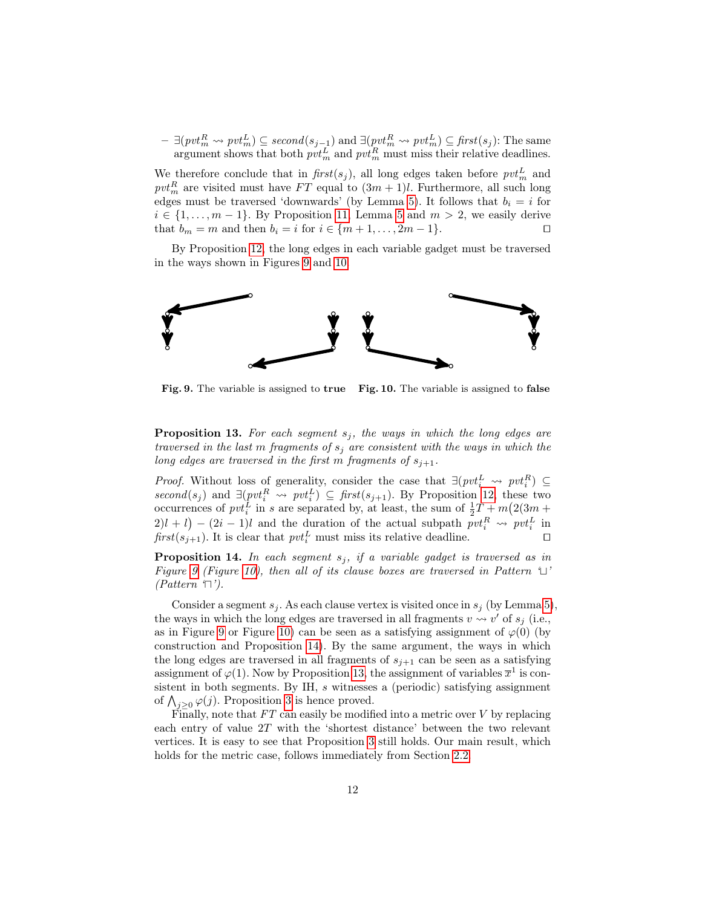$- \exists (put^R_m \leadsto put^L_m) \subseteq second(s_{j-1})$  and  $\exists (put^R_m \leadsto put^L_m) \subseteq first(s_j)$ : The same argument shows that both  $\text{put}_{m}^{L}$  and  $\text{put}_{m}^{R}$  must miss their relative deadlines.

We therefore conclude that in  $first(s_j)$ , all long edges taken before  $put_m^L$  and  $pvt_m^R$  are visited must have FT equal to  $(3m + 1)l$ . Furthermore, all such long edges must be traversed 'downwards' (by Lemma [5\)](#page-8-0). It follows that  $b_i = i$  for  $i \in \{1, \ldots, m-1\}$ . By Proposition [11,](#page-10-3) Lemma [5](#page-8-0) and  $m > 2$ , we easily derive that  $b_m = m$  and then  $b_i = i$  for  $i \in \{m+1, \ldots, 2m-1\}$ .

By Proposition [12,](#page-10-4) the long edges in each variable gadget must be traversed in the ways shown in Figures [9](#page-11-0) and [10.](#page-11-1)

<span id="page-11-0"></span>

<span id="page-11-1"></span>Fig. 9. The variable is assigned to true Fig. 10. The variable is assigned to false

<span id="page-11-3"></span>**Proposition 13.** For each segment  $s_j$ , the ways in which the long edges are traversed in the last m fragments of  $s_j$  are consistent with the ways in which the long edges are traversed in the first m fragments of  $s_{i+1}$ .

*Proof.* Without loss of generality, consider the case that  $\exists (put_i^L \leadsto put_i^R) \subseteq$ second(s<sub>j</sub>) and  $\exists (put_i^R \leadsto put_i^L) \subseteq first(s_{j+1})$ . By Proposition [12,](#page-10-4) these two occurrences of  $pvt_i^L$  in s are separated by, at least, the sum of  $\frac{1}{2}T + m(2(3m +$  $2(l + l) - (2i - 1)l$  and the duration of the actual subpath  $\overline{pvt_i^R} \rightsquigarrow \overline{pvt_i^L}$  in first $(s_{j+1})$ . It is clear that  $\mathit{put}^L_i$  must miss its relative deadline.

<span id="page-11-2"></span>**Proposition 14.** In each segment  $s_j$ , if a variable gadget is traversed as in Figure [9](#page-11-0) (Figure [10\)](#page-11-1), then all of its clause boxes are traversed in Pattern  $\mathcal{L}'$  $(Pattern \cap \)$ .

Consider a segment  $s_j$ . As each clause vertex is visited once in  $s_j$  (by Lemma [5\)](#page-8-0), the ways in which the long edges are traversed in all fragments  $v \leadsto v'$  of  $s_j$  (i.e., as in Figure [9](#page-11-0) or Figure [10\)](#page-11-1) can be seen as a satisfying assignment of  $\varphi(0)$  (by construction and Proposition [14\)](#page-11-2). By the same argument, the ways in which the long edges are traversed in all fragments of  $s_{j+1}$  can be seen as a satisfying assignment of  $\varphi(1)$ . Now by Proposition [13,](#page-11-3) the assignment of variables  $\overline{x}^1$  is consistent in both segments. By IH, s witnesses a (periodic) satisfying assignment of  $\bigwedge_{j\geq 0}\varphi(j)$ . Proposition [3](#page-6-1) is hence proved.

Finally, note that  $FT$  can easily be modified into a metric over  $V$  by replacing each entry of value 2T with the 'shortest distance' between the two relevant vertices. It is easy to see that Proposition [3](#page-6-1) still holds. Our main result, which holds for the metric case, follows immediately from Section [2.2.](#page-1-0)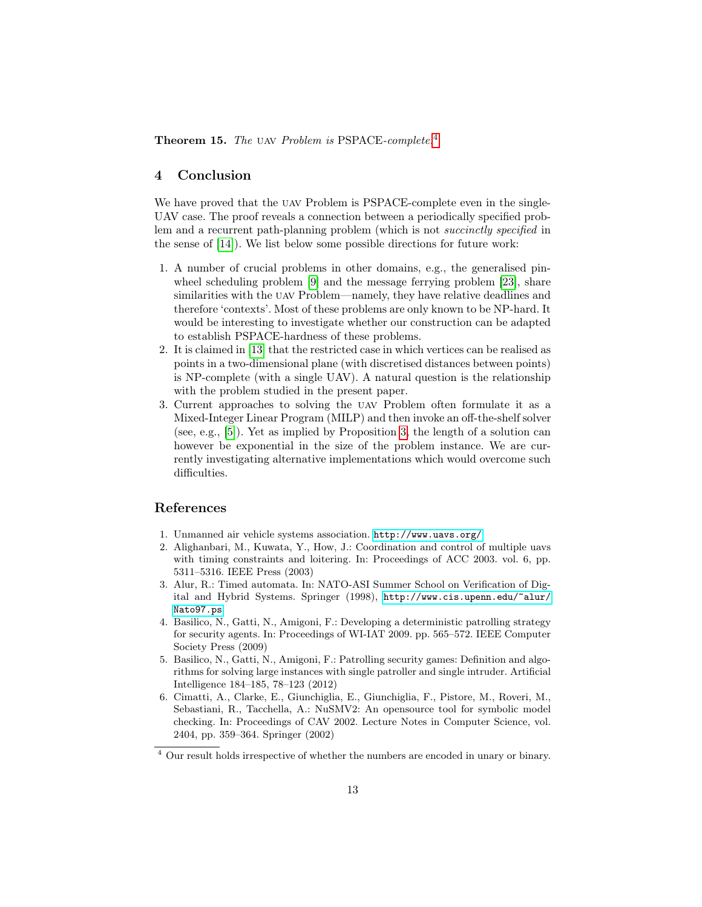Theorem 15. The UAV Problem is PSPACE-complete.<sup>[4](#page-12-5)</sup>

## 4 Conclusion

We have proved that the UAV Problem is PSPACE-complete even in the single-UAV case. The proof reveals a connection between a periodically specified problem and a recurrent path-planning problem (which is not succinctly specified in the sense of [\[14\]](#page-13-14)). We list below some possible directions for future work:

- 1. A number of crucial problems in other domains, e.g., the generalised pinwheel scheduling problem [\[9\]](#page-13-15) and the message ferrying problem [\[23\]](#page-13-16), share similarities with the UAV Problem—namely, they have relative deadlines and therefore 'contexts'. Most of these problems are only known to be NP-hard. It would be interesting to investigate whether our construction can be adapted to establish PSPACE-hardness of these problems.
- 2. It is claimed in [\[13\]](#page-13-10) that the restricted case in which vertices can be realised as points in a two-dimensional plane (with discretised distances between points) is NP-complete (with a single UAV). A natural question is the relationship with the problem studied in the present paper.
- 3. Current approaches to solving the uav Problem often formulate it as a Mixed-Integer Linear Program (MILP) and then invoke an off-the-shelf solver (see, e.g., [\[5\]](#page-12-2)). Yet as implied by Proposition [3,](#page-6-1) the length of a solution can however be exponential in the size of the problem instance. We are currently investigating alternative implementations which would overcome such difficulties.

## References

- <span id="page-12-0"></span>1. Unmanned air vehicle systems association. <http://www.uavs.org/>
- <span id="page-12-1"></span>2. Alighanbari, M., Kuwata, Y., How, J.: Coordination and control of multiple uavs with timing constraints and loitering. In: Proceedings of ACC 2003. vol. 6, pp. 5311–5316. IEEE Press (2003)
- <span id="page-12-4"></span>3. Alur, R.: Timed automata. In: NATO-ASI Summer School on Verification of Digital and Hybrid Systems. Springer (1998), [http://www.cis.upenn.edu/~alur/](http://www.cis.upenn.edu/~alur/Nato97.ps) [Nato97.ps](http://www.cis.upenn.edu/~alur/Nato97.ps)
- <span id="page-12-3"></span>4. Basilico, N., Gatti, N., Amigoni, F.: Developing a deterministic patrolling strategy for security agents. In: Proceedings of WI-IAT 2009. pp. 565–572. IEEE Computer Society Press (2009)
- <span id="page-12-2"></span>5. Basilico, N., Gatti, N., Amigoni, F.: Patrolling security games: Definition and algorithms for solving large instances with single patroller and single intruder. Artificial Intelligence 184–185, 78–123 (2012)
- <span id="page-12-6"></span>6. Cimatti, A., Clarke, E., Giunchiglia, E., Giunchiglia, F., Pistore, M., Roveri, M., Sebastiani, R., Tacchella, A.: NuSMV2: An opensource tool for symbolic model checking. In: Proceedings of CAV 2002. Lecture Notes in Computer Science, vol. 2404, pp. 359–364. Springer (2002)

<span id="page-12-5"></span><sup>4</sup> Our result holds irrespective of whether the numbers are encoded in unary or binary.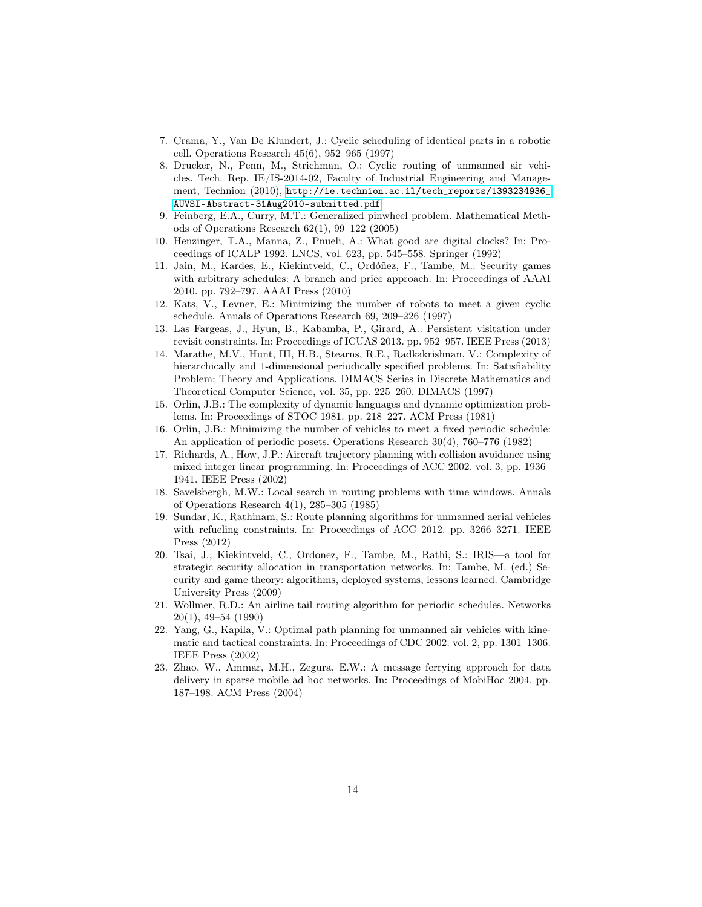- <span id="page-13-6"></span>7. Crama, Y., Van De Klundert, J.: Cyclic scheduling of identical parts in a robotic cell. Operations Research 45(6), 952–965 (1997)
- <span id="page-13-3"></span>8. Drucker, N., Penn, M., Strichman, O.: Cyclic routing of unmanned air vehicles. Tech. Rep. IE/IS-2014-02, Faculty of Industrial Engineering and Management, Technion (2010), [http://ie.technion.ac.il/tech\\_reports/1393234936\\_](http://ie.technion.ac.il/tech_reports/1393234936_AUVSI-Abstract-31Aug2010-submitted.pdf) [AUVSI-Abstract-31Aug2010-submitted.pdf](http://ie.technion.ac.il/tech_reports/1393234936_AUVSI-Abstract-31Aug2010-submitted.pdf)
- <span id="page-13-15"></span>9. Feinberg, E.A., Curry, M.T.: Generalized pinwheel problem. Mathematical Methods of Operations Research 62(1), 99–122 (2005)
- <span id="page-13-13"></span>10. Henzinger, T.A., Manna, Z., Pnueli, A.: What good are digital clocks? In: Proceedings of ICALP 1992. LNCS, vol. 623, pp. 545–558. Springer (1992)
- <span id="page-13-8"></span>11. Jain, M., Kardes, E., Kiekintveld, C., Ordóñez, F., Tambe, M.: Security games with arbitrary schedules: A branch and price approach. In: Proceedings of AAAI 2010. pp. 792–797. AAAI Press (2010)
- <span id="page-13-7"></span>12. Kats, V., Levner, E.: Minimizing the number of robots to meet a given cyclic schedule. Annals of Operations Research 69, 209–226 (1997)
- <span id="page-13-10"></span>13. Las Fargeas, J., Hyun, B., Kabamba, P., Girard, A.: Persistent visitation under revisit constraints. In: Proceedings of ICUAS 2013. pp. 952–957. IEEE Press (2013)
- <span id="page-13-14"></span>14. Marathe, M.V., Hunt, III, H.B., Stearns, R.E., Radkakrishnan, V.: Complexity of hierarchically and 1-dimensional periodically specified problems. In: Satisfiability Problem: Theory and Applications. DIMACS Series in Discrete Mathematics and Theoretical Computer Science, vol. 35, pp. 225–260. DIMACS (1997)
- <span id="page-13-12"></span>15. Orlin, J.B.: The complexity of dynamic languages and dynamic optimization problems. In: Proceedings of STOC 1981. pp. 218–227. ACM Press (1981)
- <span id="page-13-4"></span>16. Orlin, J.B.: Minimizing the number of vehicles to meet a fixed periodic schedule: An application of periodic posets. Operations Research 30(4), 760–776 (1982)
- <span id="page-13-0"></span>17. Richards, A., How, J.P.: Aircraft trajectory planning with collision avoidance using mixed integer linear programming. In: Proceedings of ACC 2002. vol. 3, pp. 1936– 1941. IEEE Press (2002)
- <span id="page-13-11"></span>18. Savelsbergh, M.W.: Local search in routing problems with time windows. Annals of Operations Research 4(1), 285–305 (1985)
- <span id="page-13-1"></span>19. Sundar, K., Rathinam, S.: Route planning algorithms for unmanned aerial vehicles with refueling constraints. In: Proceedings of ACC 2012. pp. 3266–3271. IEEE Press (2012)
- <span id="page-13-9"></span>20. Tsai, J., Kiekintveld, C., Ordonez, F., Tambe, M., Rathi, S.: IRIS—a tool for strategic security allocation in transportation networks. In: Tambe, M. (ed.) Security and game theory: algorithms, deployed systems, lessons learned. Cambridge University Press (2009)
- <span id="page-13-5"></span>21. Wollmer, R.D.: An airline tail routing algorithm for periodic schedules. Networks 20(1), 49–54 (1990)
- <span id="page-13-2"></span>22. Yang, G., Kapila, V.: Optimal path planning for unmanned air vehicles with kinematic and tactical constraints. In: Proceedings of CDC 2002. vol. 2, pp. 1301–1306. IEEE Press (2002)
- <span id="page-13-16"></span>23. Zhao, W., Ammar, M.H., Zegura, E.W.: A message ferrying approach for data delivery in sparse mobile ad hoc networks. In: Proceedings of MobiHoc 2004. pp. 187–198. ACM Press (2004)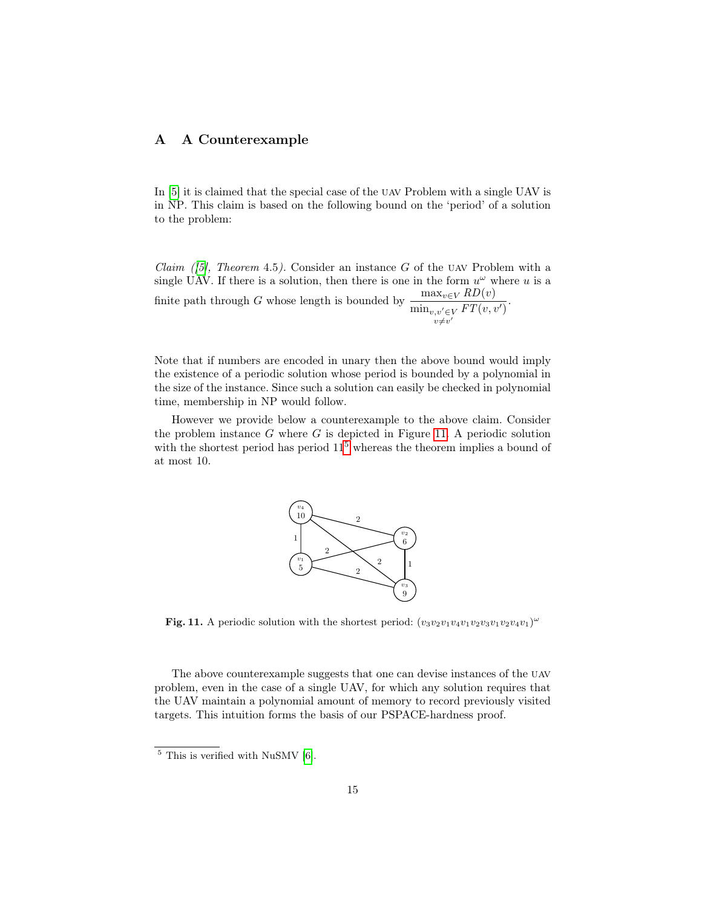## <span id="page-14-0"></span>A A Counterexample

In [\[5\]](#page-12-2) it is claimed that the special case of the UAV Problem with a single UAV is in NP. This claim is based on the following bound on the 'period' of a solution to the problem:

*Claim ([\[5\]](#page-12-2), Theorem 4.5).* Consider an instance G of the UAV Problem with a single UAV. If there is a solution, then there is one in the form  $u^{\omega}$  where u is a finite path through G whose length is bounded by  $\frac{\max_{v \in V} RD(v)}{\sum_{v \in V} P(v)}$  $\frac{\min_{v,v'\in V} \text{rc}(v)}{\min_{v,v'\in V} \text{FT}(v,v')}.$  $v \neq v'$ 

Note that if numbers are encoded in unary then the above bound would imply the existence of a periodic solution whose period is bounded by a polynomial in the size of the instance. Since such a solution can easily be checked in polynomial time, membership in NP would follow.

<span id="page-14-1"></span>However we provide below a counterexample to the above claim. Consider the problem instance  $G$  where  $G$  is depicted in Figure [11.](#page-14-1) A periodic solution with the shortest period has period  $11<sup>5</sup>$  $11<sup>5</sup>$  $11<sup>5</sup>$  whereas the theorem implies a bound of at most 10.



Fig. 11. A periodic solution with the shortest period:  $(v_3v_2v_1v_4v_1v_2v_3v_1v_2v_4v_1)^\omega$ 

The above counterexample suggests that one can devise instances of the uav problem, even in the case of a single UAV, for which any solution requires that the UAV maintain a polynomial amount of memory to record previously visited targets. This intuition forms the basis of our PSPACE-hardness proof.

<span id="page-14-2"></span> $5$  This is verified with NuSMV [\[6\]](#page-12-6).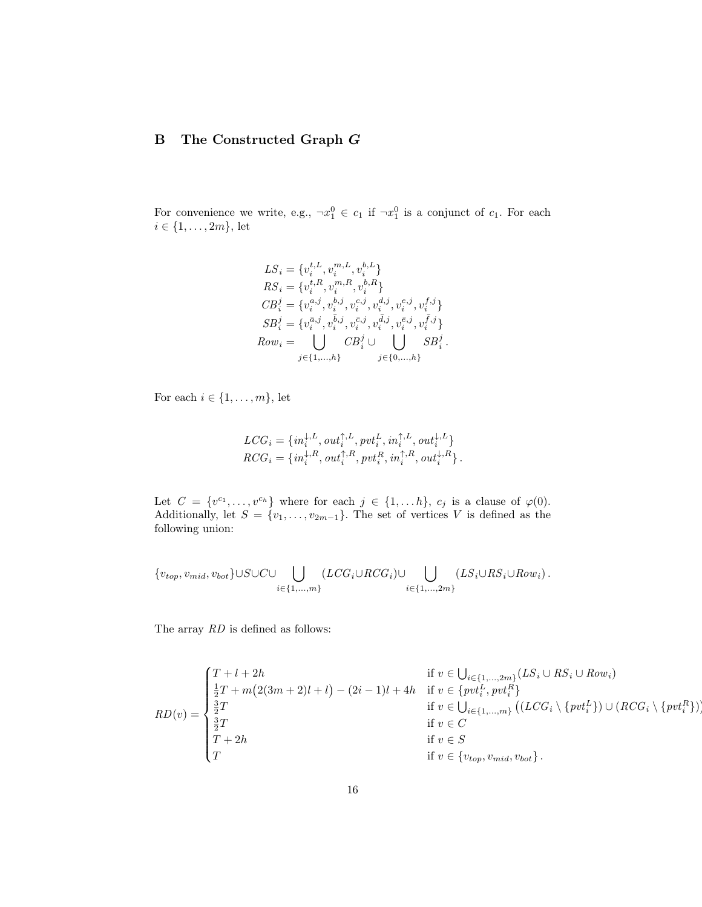## <span id="page-15-0"></span>B The Constructed Graph G

For convenience we write, e.g.,  $\neg x_1^0 \in c_1$  if  $\neg x_1^0$  is a conjunct of  $c_1$ . For each  $i \in \{1, \ldots, 2m\}, \text{ let }$ 

$$
LS_{i} = \{v_{i}^{t,L}, v_{i}^{m,L}, v_{i}^{b,L}\}
$$
  
\n
$$
RS_{i} = \{v_{i}^{t,R}, v_{i}^{m,R}, v_{i}^{b,R}\}
$$
  
\n
$$
CB_{i}^{j} = \{v_{i}^{a,j}, v_{i}^{b,j}, v_{i}^{c,j}, v_{i}^{d,j}, v_{i}^{e,j}, v_{i}^{f,j}\}
$$
  
\n
$$
SB_{i}^{j} = \{v_{i}^{\bar{a},j}, v_{i}^{\bar{b},j}, v_{i}^{\bar{c},j}, v_{i}^{\bar{d},j}, v_{i}^{\bar{e},j}, v_{i}^{\bar{f},j}\}
$$
  
\n
$$
Row_{i} = \bigcup_{j \in \{1, ..., h\}} CB_{i}^{j} \cup \bigcup_{j \in \{0, ..., h\}} SB_{i}^{j}.
$$

For each  $i \in \{1, \ldots, m\}$ , let

$$
LCG_i = \{in_i^{\downarrow, L}, out_i^{\uparrow, L}, put_i^L, in_i^{\uparrow, L}, out_i^{\downarrow, L}\}
$$
  

$$
RCG_i = \{in_i^{\downarrow, R}, out_i^{\uparrow, R}, put_i^R, in_i^{\uparrow, R}, out_i^{\downarrow, R}\}.
$$

Let  $C = \{v^{c_1}, \ldots, v^{c_h}\}\$  where for each  $j \in \{1, \ldots h\}, c_j$  is a clause of  $\varphi(0)$ . Additionally, let  $S = \{v_1, \ldots, v_{2m-1}\}.$  The set of vertices V is defined as the following union:

$$
\{v_{top}, v_{mid}, v_{bot}\} \cup S \cup C \cup \bigcup_{i \in \{1, ..., m\}} (LCG_i \cup RCG_i) \cup \bigcup_{i \in \{1, ..., 2m\}} (LS_i \cup RS_i \cup Row_i).
$$

The array  $RD$  is defined as follows:

$$
RD(v) = \begin{cases} T + l + 2h & \text{if } v \in \bigcup_{i \in \{1, \dots, 2m\}} (LS_i \cup RS_i \cup Row_i) \\ \frac{1}{2}T + m(2(3m + 2)l + l) - (2i - 1)l + 4h & \text{if } v \in \{pt_i^L, put_i^R\} \\ \frac{3}{2}T & \text{if } v \in \bigcup_{i \in \{1, \dots, m\}} \left( (LCG_i \setminus \{pt_i^L\}) \cup (RCG_i \setminus \{pt_i^R\}) \right) \\ \frac{3}{2}T & \text{if } v \in C \\ T + 2h & \text{if } v \in S \\ T & \text{if } v \in \{v_{top}, v_{mid}, v_{bot}\}. \end{cases}
$$

Ì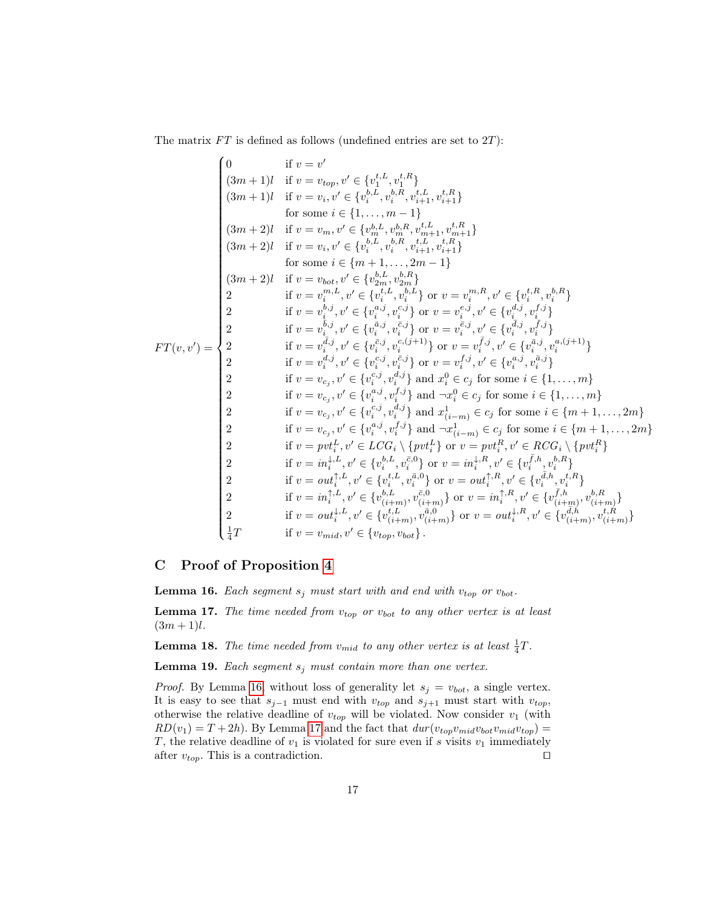The matrix  $FT$  is defined as follows (undefined entries are set to  $2T$ ):

$$
\begin{cases}\n0 & \text{if } v = v' \\
(3m+1)l & \text{if } v = v_{top}, v' \in \{v_1^{t,L}, v_1^{t,R}\} \\
(3m+1)l & \text{if } v = v_i, v' \in \{v_2^{b,L}, v_2^{b,R}, v_{i+1}^{t,L}, v_{i+1}^{t,R}\} \\
6m+2)l & \text{if } v = v_m, v' \in \{v_m^{b,L}, v_m^{b,R}, v_{i+1}^{t,L}, v_{m+1}^{t,R}\} \\
(3m+2)l & \text{if } v = v_i, v' \in \{v_2^{b,L}, v_2^{b,R}, v_{i+1}^{t,L}, v_{i+1}^{t,R}\} \\
(3m+2)l & \text{if } v = v_i, v' \in \{v_2^{b,L}, v_2^{b,R}\} \\
6m+2)l & \text{if } v = v_{bot}, v' \in \{v_2^{b,L}, v_2^{b,R}\} \\
2 & \text{if } v = v_{bot}, v' \in \{v_2^{t,L}, v_2^{b,R}\} \\
2 & \text{if } v = v_2^{m,L}, v' \in \{v_i^{t,L}, v_i^{b,L}\} \\
2 & \text{if } v = v_2^{b,j}, v' \in \{v_i^{t,j}, v_i^{c,j}\} \\
6m+2)l & \text{if } v = v_2^{b,j}, v' \in \{v_i^{t,j}, v_i^{c,j}\} \\
6m+2)l & \text{if } v = v_2^{b,j}, v' \in \{v_i^{t,j}, v_i^{c,j}\} \\
6m+2)l & \text{if } v = v_2^{b,j}, v' \in \{v_i^{t,j}, v_i^{c,j}\} \\
6m+2)l & \text{if } v = v_2^{b,j}, v' \in \{v_i^{t,j}, v_i^{c,j}\} \\
6m+2)l & \text{if } v = v_2^{b,j}, v' \in \{v_i^{t,j}, v_i^{c,j}\} \\
6m+2)l & \text{if } v = v_2^{t,j}, v' \in \{v_i^{t,j}, v_i^{t,j}\} \\
6m+2)l & \text{if } v = v_2^{t,j}, v' \in \{v_i^{c,j}, v_i^{d,j}\} \\
6m+2)l & \text{if } v = v_2^{t,j}, v' \in \{v_i^{c,j}, v_i^{d,j}\} \\
6m+2)l & \
$$

## <span id="page-16-0"></span>C Proof of Proposition [4](#page-7-1)

<span id="page-16-1"></span>**Lemma 16.** Each segment  $s_j$  must start with and end with  $v_{top}$  or  $v_{bot}$ .

<span id="page-16-2"></span>**Lemma 17.** The time needed from  $v_{top}$  or  $v_{bot}$  to any other vertex is at least  $(3m + 1)l$ .

<span id="page-16-4"></span>**Lemma 18.** The time needed from  $v_{mid}$  to any other vertex is at least  $\frac{1}{4}T$ .

<span id="page-16-3"></span>**Lemma 19.** Each segment  $s_j$  must contain more than one vertex.

*Proof.* By Lemma [16,](#page-16-1) without loss of generality let  $s_j = v_{bot}$ , a single vertex. It is easy to see that  $s_{j-1}$  must end with  $v_{top}$  and  $s_{j+1}$  must start with  $v_{top}$ , otherwise the relative deadline of  $v_{top}$  will be violated. Now consider  $v_1$  (with  $RD(v_1) = T + 2h$ . By Lemma [17](#page-16-2) and the fact that  $dur(v_{top}v_{mid}v_{bot}v_{mid}v_{top}) =$ T, the relative deadline of  $v_1$  is violated for sure even if s visits  $v_1$  immediately after  $v_{top}$ . This is a contradiction.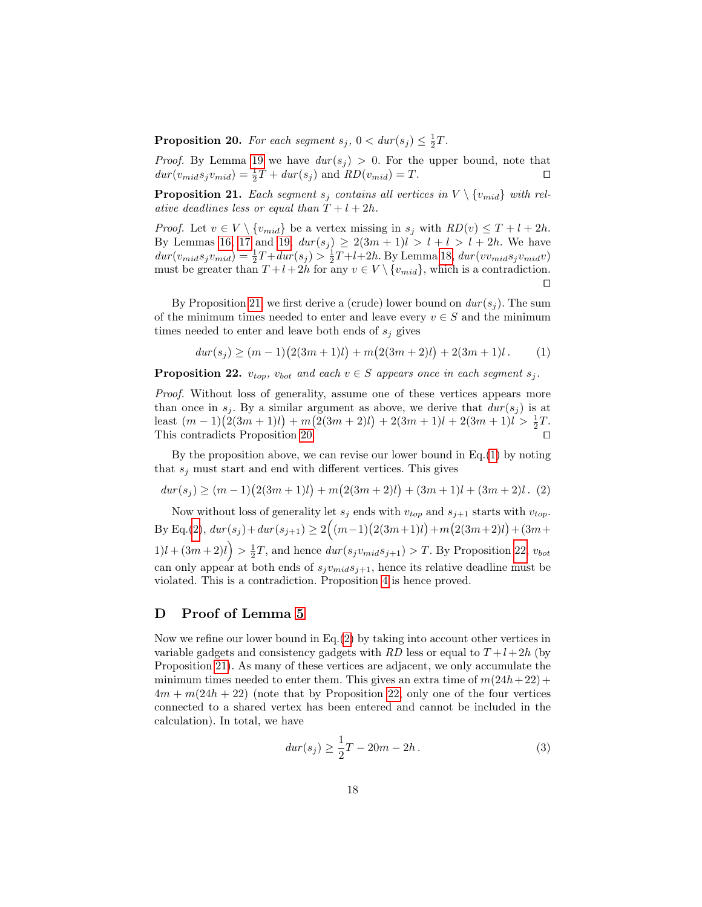<span id="page-17-2"></span>**Proposition 20.** For each segment  $s_j$ ,  $0 < dur(s_j) \leq \frac{1}{2}T$ .

*Proof.* By Lemma [19](#page-16-3) we have  $dur(s_i) > 0$ . For the upper bound, note that  $dur(v_{mid}s_jv_{mid}) = \frac{1}{2}T + dur(s_j)$  and  $RD(v_{mid}) = T$ .

<span id="page-17-1"></span>**Proposition 21.** Each segment  $s_j$  contains all vertices in  $V \setminus \{v_{mid}\}$  with relative deadlines less or equal than  $T + l + 2h$ .

*Proof.* Let  $v \in V \setminus \{v_{mid}\}\)$  be a vertex missing in  $s_i$  with  $RD(v) \leq T + l + 2h$ . By Lemmas [16,](#page-16-1) [17](#page-16-2) and [19,](#page-16-3)  $dur(s_j) \geq 2(3m + 1)l > l + l > l + 2h$ . We have  $dur(v_{mid}s_jv_{mid}) = \frac{1}{2}T + dur(s_j) > \frac{1}{2}T + l + 2h$ . By Lemma [18,](#page-16-4)  $dur(v_{mid}s_jv_{mid}v)$ must be greater than  $T + l + 2h$  for any  $v \in V \setminus \{v_{mid}\}$ , which is a contradiction.  $\Box$ 

By Proposition [21,](#page-17-1) we first derive a (crude) lower bound on  $dur(s_i)$ . The sum of the minimum times needed to enter and leave every  $v \in S$  and the minimum times needed to enter and leave both ends of  $s_i$  gives

<span id="page-17-3"></span>
$$
dur(s_j) \ge (m-1)(2(3m+1)l) + m(2(3m+2)l) + 2(3m+1)l. \tag{1}
$$

<span id="page-17-5"></span>**Proposition 22.**  $v_{top}$ ,  $v_{bot}$  and each  $v \in S$  appears once in each segment  $s_i$ .

Proof. Without loss of generality, assume one of these vertices appears more than once in  $s_i$ . By a similar argument as above, we derive that  $dur(s_i)$  is at least  $(m-1)(2(3m+1)l) + m(2(3m+2)l) + 2(3m+1)l + 2(3m+1)l > \frac{1}{2}T$ . This contradicts Proposition [20.](#page-17-2)

By the proposition above, we can revise our lower bound in Eq.[\(1\)](#page-17-3) by noting that  $s_j$  must start and end with different vertices. This gives

<span id="page-17-4"></span>
$$
dur(s_j) \ge (m-1)(2(3m+1)l) + m(2(3m+2)l) + (3m+1)l + (3m+2)l.
$$
 (2)

Now without loss of generality let  $s_j$  ends with  $v_{top}$  and  $s_{j+1}$  starts with  $v_{top}$ . By Eq.[\(2\)](#page-17-4),  $dur(s_j) + dur(s_{j+1}) \geq 2((m-1)(2(3m+1)l) + m(2(3m+2)l) + (3m+1)l)$  $1)l + (3m + 2)l$   $> \frac{1}{2}T$ , and hence  $dur(s_j v_{mid} s_{j+1}) > T$ . By Proposition [22,](#page-17-5)  $v_{bot}$ can only appear at both ends of  $s_jv_{mid}s_{j+1}$ , hence its relative deadline must be violated. This is a contradiction. Proposition [4](#page-7-1) is hence proved.

#### <span id="page-17-0"></span>D Proof of Lemma [5](#page-8-0)

Now we refine our lower bound in Eq. $(2)$  by taking into account other vertices in variable gadgets and consistency gadgets with RD less or equal to  $T + l + 2h$  (by Proposition [21\)](#page-17-1). As many of these vertices are adjacent, we only accumulate the minimum times needed to enter them. This gives an extra time of  $m(24h+22)$ +  $4m + m(24h + 22)$  (note that by Proposition [22,](#page-17-5) only one of the four vertices connected to a shared vertex has been entered and cannot be included in the calculation). In total, we have

<span id="page-17-6"></span>
$$
dur(s_j) \ge \frac{1}{2}T - 20m - 2h.
$$
 (3)